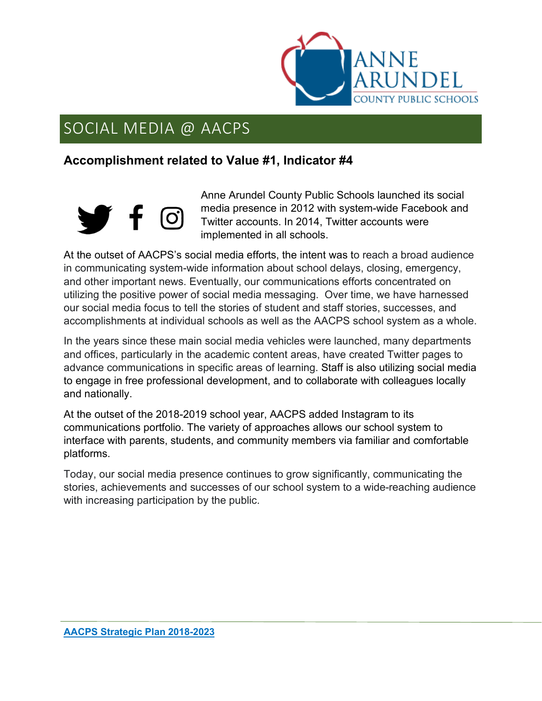

## SOCIAL MEDIA @ AACPS

## **Accomplishment related to Value #1, Indicator #4**



Anne Arundel County Public Schools launched its social media presence in 2012 with system-wide Facebook and Twitter accounts. In 2014, Twitter accounts were implemented in all schools.

At the outset of AACPS's social media efforts, the intent was to reach a broad audience in communicating system-wide information about school delays, closing, emergency, and other important news. Eventually, our communications efforts concentrated on utilizing the positive power of social media messaging. Over time, we have harnessed our social media focus to tell the stories of student and staff stories, successes, and accomplishments at individual schools as well as the AACPS school system as a whole.

In the years since these main social media vehicles were launched, many departments and offices, particularly in the academic content areas, have created Twitter pages to advance communications in specific areas of learning. Staff is also utilizing social media to engage in free professional development, and to collaborate with colleagues locally and nationally.

At the outset of the 2018-2019 school year, AACPS added Instagram to its communications portfolio. The variety of approaches allows our school system to interface with parents, students, and community members via familiar and comfortable platforms.

Today, our social media presence continues to grow significantly, communicating the stories, achievements and successes of our school system to a wide-reaching audience with increasing participation by the public.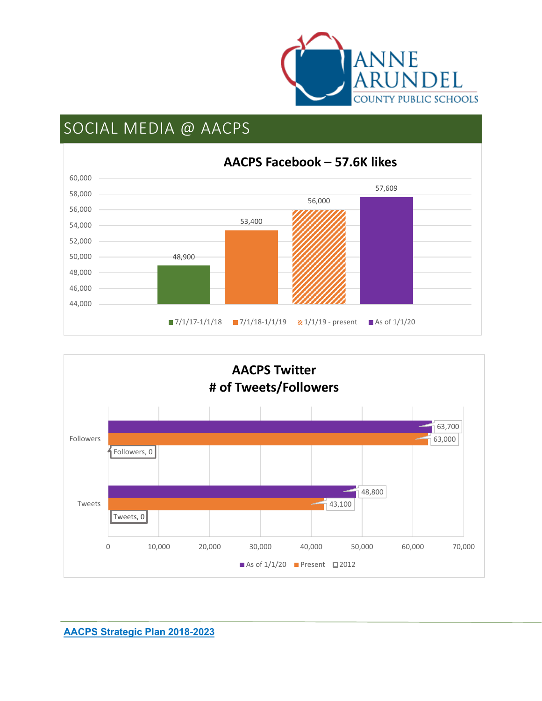

## SOCIAL MEDIA @ AACPS





**[AACPS Strategic Plan 2018-2023](https://www.aacps.org/strategicplan2018)**